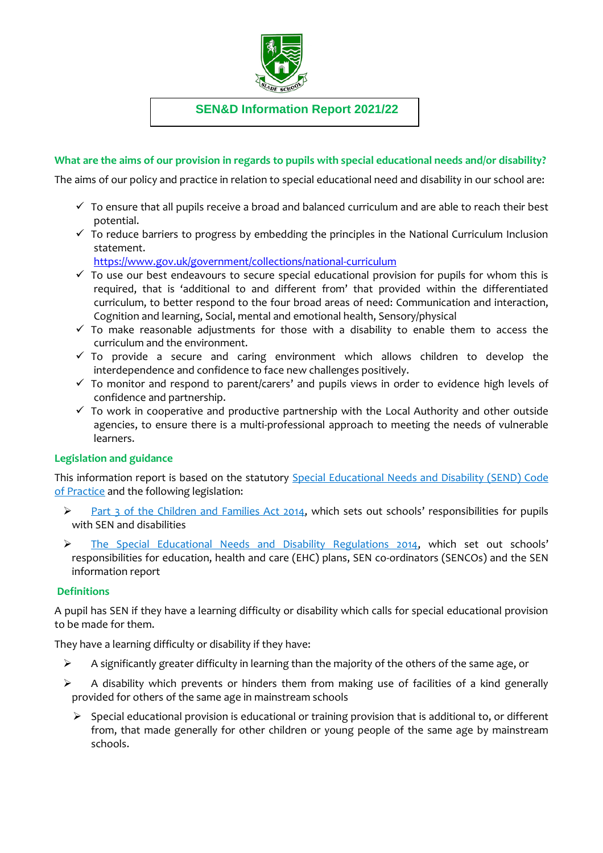

**SEN&D Information Report 2021/22**

## **What are the aims of our provision in regards to pupils with special educational needs and/or disability?**

The aims of our policy and practice in relation to special educational need and disability in our school are:

- $\checkmark$  To ensure that all pupils receive a broad and balanced curriculum and are able to reach their best potential.
- $\checkmark$  To reduce barriers to progress by embedding the principles in the National Curriculum Inclusion statement.

<https://www.gov.uk/government/collections/national-curriculum>

- $\checkmark$  To use our best endeavours to secure special educational provision for pupils for whom this is required, that is 'additional to and different from' that provided within the differentiated curriculum, to better respond to the four broad areas of need: Communication and interaction, Cognition and learning, Social, mental and emotional health, Sensory/physical
- $\checkmark$  To make reasonable adjustments for those with a disability to enable them to access the curriculum and the environment.
- $\checkmark$  To provide a secure and caring environment which allows children to develop the interdependence and confidence to face new challenges positively.
- $\checkmark$  To monitor and respond to parent/carers' and pupils views in order to evidence high levels of confidence and partnership.
- $\checkmark$  To work in cooperative and productive partnership with the Local Authority and other outside agencies, to ensure there is a multi-professional approach to meeting the needs of vulnerable learners.

# **Legislation and guidance**

This information report is based on the statutory [Special Educational Needs and Disability \(SEND\) Code](https://www.gov.uk/government/uploads/system/uploads/attachment_data/file/398815/SEND_Code_of_Practice_January_2015.pdf)  [of Practice](https://www.gov.uk/government/uploads/system/uploads/attachment_data/file/398815/SEND_Code_of_Practice_January_2015.pdf) and the following legislation:

- [Part 3 of the Children and Families Act 2014](http://www.legislation.gov.uk/ukpga/2014/6/part/3), which sets out schools' responsibilities for pupils with SEN and disabilities
- > [The Special Educational Needs and Disability Regulations 2014](http://www.legislation.gov.uk/uksi/2014/1530/contents/made), which set out schools' responsibilities for education, health and care (EHC) plans, SEN co-ordinators (SENCOs) and the SEN information report

### **Definitions**

A pupil has SEN if they have a learning difficulty or disability which calls for special educational provision to be made for them.

They have a learning difficulty or disability if they have:

- $\triangleright$  A significantly greater difficulty in learning than the majority of the others of the same age, or
- $\triangleright$  A disability which prevents or hinders them from making use of facilities of a kind generally provided for others of the same age in mainstream schools
	- $\triangleright$  Special educational provision is educational or training provision that is additional to, or different from, that made generally for other children or young people of the same age by mainstream schools.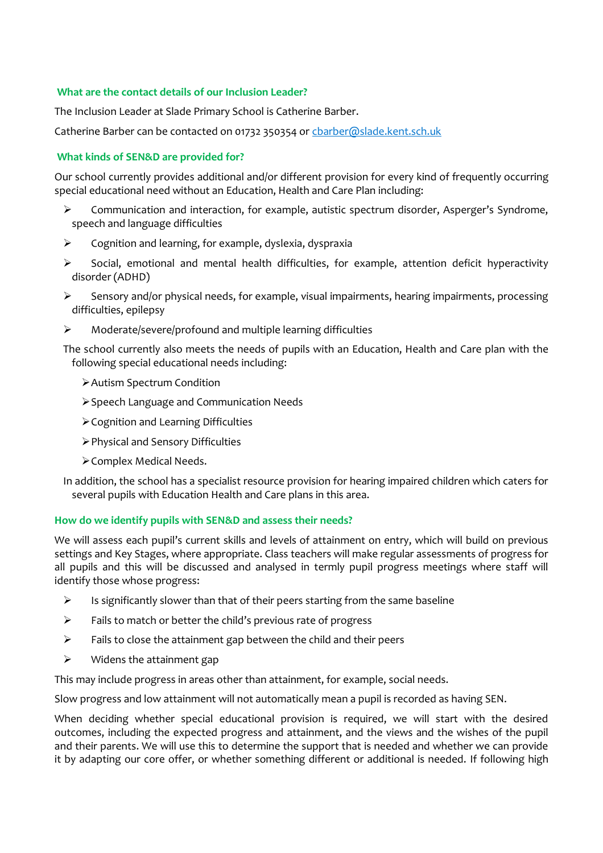## **What are the contact details of our Inclusion Leader?**

The Inclusion Leader at Slade Primary School is Catherine Barber.

Catherine Barber can be contacted on 01732 350354 or charber@slade.kent.sch.uk

### **What kinds of SEN&D are provided for?**

Our school currently provides additional and/or different provision for every kind of frequently occurring special educational need without an Education, Health and Care Plan including:

- $\triangleright$  Communication and interaction, for example, autistic spectrum disorder, Asperger's Syndrome, speech and language difficulties
- $\triangleright$  Cognition and learning, for example, dyslexia, dyspraxia
- $\triangleright$  Social, emotional and mental health difficulties, for example, attention deficit hyperactivity disorder (ADHD)
- $\triangleright$  Sensory and/or physical needs, for example, visual impairments, hearing impairments, processing difficulties, epilepsy
- Moderate/severe/profound and multiple learning difficulties

The school currently also meets the needs of pupils with an Education, Health and Care plan with the following special educational needs including:

- Autism Spectrum Condition
- Speech Language and Communication Needs
- Cognition and Learning Difficulties
- Physical and Sensory Difficulties
- Complex Medical Needs.
- In addition, the school has a specialist resource provision for hearing impaired children which caters for several pupils with Education Health and Care plans in this area.

#### **How do we identify pupils with SEN&D and assess their needs?**

We will assess each pupil's current skills and levels of attainment on entry, which will build on previous settings and Key Stages, where appropriate. Class teachers will make regular assessments of progress for all pupils and this will be discussed and analysed in termly pupil progress meetings where staff will identify those whose progress:

- $\triangleright$  Is significantly slower than that of their peers starting from the same baseline
- $\triangleright$  Fails to match or better the child's previous rate of progress
- $\triangleright$  Fails to close the attainment gap between the child and their peers
- $\triangleright$  Widens the attainment gap

This may include progress in areas other than attainment, for example, social needs.

Slow progress and low attainment will not automatically mean a pupil is recorded as having SEN.

When deciding whether special educational provision is required, we will start with the desired outcomes, including the expected progress and attainment, and the views and the wishes of the pupil and their parents. We will use this to determine the support that is needed and whether we can provide it by adapting our core offer, or whether something different or additional is needed. If following high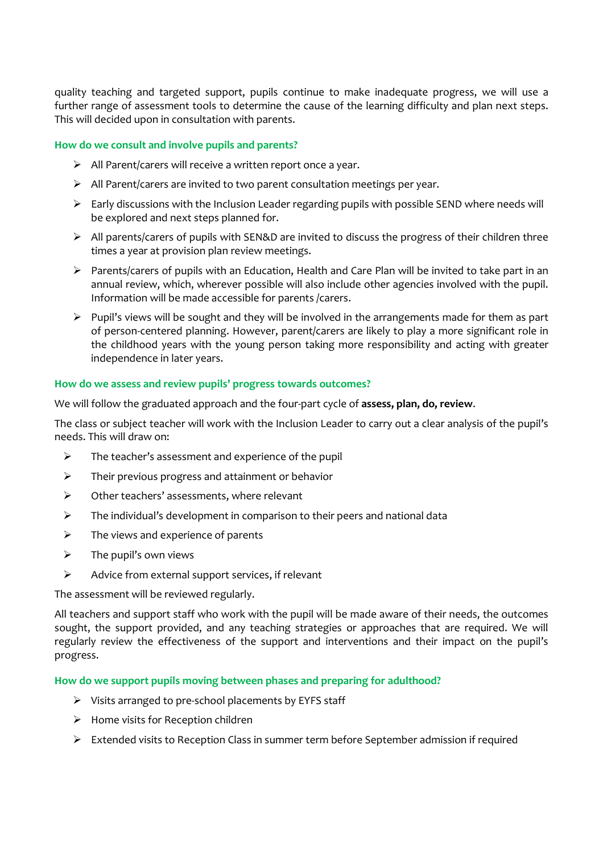quality teaching and targeted support, pupils continue to make inadequate progress, we will use a further range of assessment tools to determine the cause of the learning difficulty and plan next steps. This will decided upon in consultation with parents.

### **How do we consult and involve pupils and parents?**

- $\triangleright$  All Parent/carers will receive a written report once a year.
- $\triangleright$  All Parent/carers are invited to two parent consultation meetings per year.
- $\triangleright$  Early discussions with the Inclusion Leader regarding pupils with possible SEND where needs will be explored and next steps planned for.
- $\triangleright$  All parents/carers of pupils with SEN&D are invited to discuss the progress of their children three times a year at provision plan review meetings.
- $\triangleright$  Parents/carers of pupils with an Education, Health and Care Plan will be invited to take part in an annual review, which, wherever possible will also include other agencies involved with the pupil. Information will be made accessible for parents /carers.
- $\triangleright$  Pupil's views will be sought and they will be involved in the arrangements made for them as part of person-centered planning. However, parent/carers are likely to play a more significant role in the childhood years with the young person taking more responsibility and acting with greater independence in later years.

### **How do we assess and review pupils' progress towards outcomes?**

We will follow the graduated approach and the four-part cycle of **assess, plan, do, review**.

The class or subject teacher will work with the Inclusion Leader to carry out a clear analysis of the pupil's needs. This will draw on:

- $\triangleright$  The teacher's assessment and experience of the pupil
- $\triangleright$  Their previous progress and attainment or behavior
- $\triangleright$  Other teachers' assessments, where relevant
- $\triangleright$  The individual's development in comparison to their peers and national data
- $\triangleright$  The views and experience of parents
- $\triangleright$  The pupil's own views
- $\triangleright$  Advice from external support services, if relevant

The assessment will be reviewed regularly.

All teachers and support staff who work with the pupil will be made aware of their needs, the outcomes sought, the support provided, and any teaching strategies or approaches that are required. We will regularly review the effectiveness of the support and interventions and their impact on the pupil's progress.

**How do we support pupils moving between phases and preparing for adulthood?**

- $\triangleright$  Visits arranged to pre-school placements by EYFS staff
- $\triangleright$  Home visits for Reception children
- $\triangleright$  Extended visits to Reception Class in summer term before September admission if required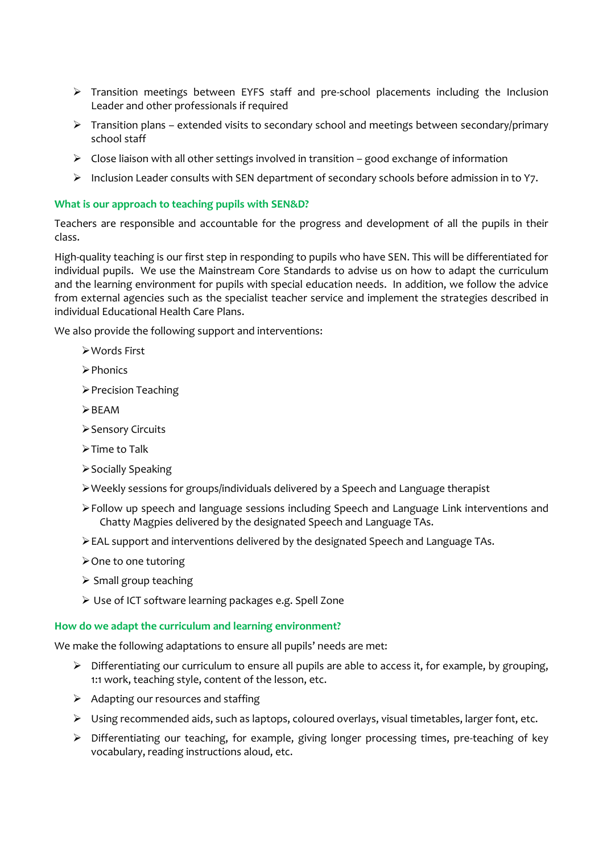- Transition meetings between EYFS staff and pre-school placements including the Inclusion Leader and other professionals if required
- $\triangleright$  Transition plans extended visits to secondary school and meetings between secondary/primary school staff
- $\triangleright$  Close liaison with all other settings involved in transition good exchange of information
- $\triangleright$  Inclusion Leader consults with SEN department of secondary schools before admission in to Y7.

# **What is our approach to teaching pupils with SEN&D?**

Teachers are responsible and accountable for the progress and development of all the pupils in their class.

High-quality teaching is our first step in responding to pupils who have SEN. This will be differentiated for individual pupils. We use the Mainstream Core Standards to advise us on how to adapt the curriculum and the learning environment for pupils with special education needs. In addition, we follow the advice from external agencies such as the specialist teacher service and implement the strategies described in individual Educational Health Care Plans.

We also provide the following support and interventions:

- Words First
- $\triangleright$  Phonics
- > Precision Teaching
- $\triangleright$  BFAM
- ▶ Sensory Circuits
- > Time to Talk
- ▶ Socially Speaking
- Weekly sessions for groups/individuals delivered by a Speech and Language therapist
- Follow up speech and language sessions including Speech and Language Link interventions and Chatty Magpies delivered by the designated Speech and Language TAs.
- EAL support and interventions delivered by the designated Speech and Language TAs.
- $\triangleright$  One to one tutoring
- $\triangleright$  Small group teaching
- Use of ICT software learning packages e.g. Spell Zone

### **How do we adapt the curriculum and learning environment?**

We make the following adaptations to ensure all pupils' needs are met:

- $\triangleright$  Differentiating our curriculum to ensure all pupils are able to access it, for example, by grouping, 1:1 work, teaching style, content of the lesson, etc.
- $\triangleright$  Adapting our resources and staffing
- Using recommended aids, such as laptops, coloured overlays, visual timetables, larger font, etc.
- $\triangleright$  Differentiating our teaching, for example, giving longer processing times, pre-teaching of key vocabulary, reading instructions aloud, etc.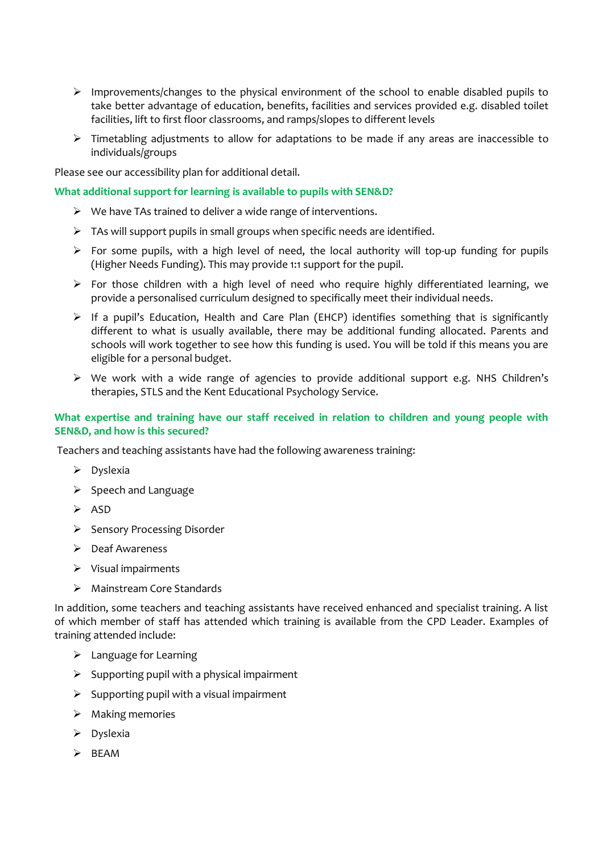- $\triangleright$  Improvements/changes to the physical environment of the school to enable disabled pupils to take better advantage of education, benefits, facilities and services provided e.g. disabled toilet facilities, lift to first floor classrooms, and ramps/slopes to different levels
- $\triangleright$  Timetabling adjustments to allow for adaptations to be made if any areas are inaccessible to individuals/groups

Please see our accessibility plan for additional detail.

### **What additional support for learning is available to pupils with SEN&D?**

- $\triangleright$  We have TAs trained to deliver a wide range of interventions.
- $\triangleright$  TAs will support pupils in small groups when specific needs are identified.
- $\triangleright$  For some pupils, with a high level of need, the local authority will top-up funding for pupils (Higher Needs Funding). This may provide 1:1 support for the pupil.
- $\triangleright$  For those children with a high level of need who require highly differentiated learning, we provide a personalised curriculum designed to specifically meet their individual needs.
- $\triangleright$  If a pupil's Education, Health and Care Plan (EHCP) identifies something that is significantly different to what is usually available, there may be additional funding allocated. Parents and schools will work together to see how this funding is used. You will be told if this means you are eligible for a personal budget.
- $\triangleright$  We work with a wide range of agencies to provide additional support e.g. NHS Children's therapies, STLS and the Kent Educational Psychology Service.

## **What expertise and training have our staff received in relation to children and young people with SEN&D, and how is this secured?**

Teachers and teaching assistants have had the following awareness training:

- $\triangleright$  Dyslexia
- $\triangleright$  Speech and Language
- $\triangleright$  ASD
- $\triangleright$  Sensory Processing Disorder
- $\triangleright$  Deaf Awareness
- $\triangleright$  Visual impairments
- > Mainstream Core Standards

In addition, some teachers and teaching assistants have received enhanced and specialist training. A list of which member of staff has attended which training is available from the CPD Leader. Examples of training attended include:

- $\blacktriangleright$  Language for Learning
- $\triangleright$  Supporting pupil with a physical impairment
- $\triangleright$  Supporting pupil with a visual impairment
- $\triangleright$  Making memories
- $\triangleright$  Dyslexia
- $\triangleright$  BEAM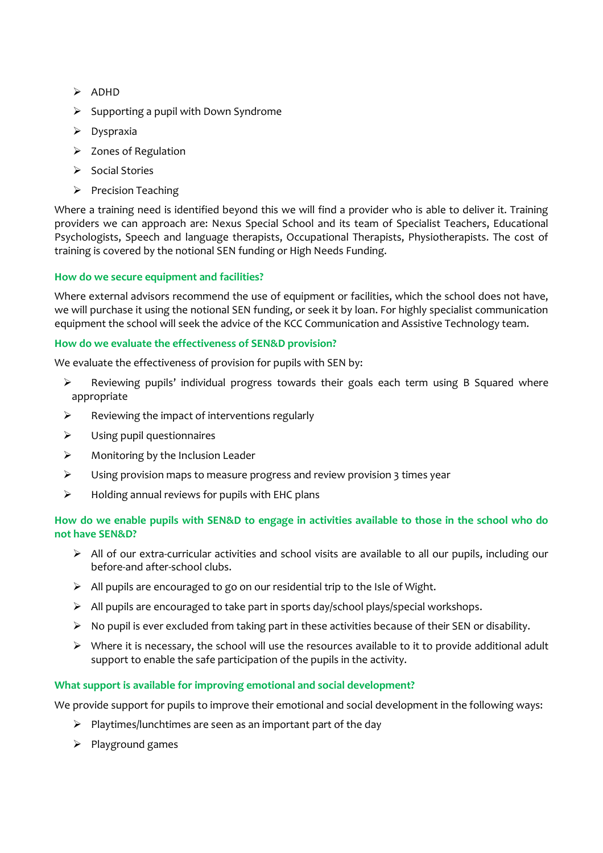- $\triangleright$  ADHD
- $\triangleright$  Supporting a pupil with Down Syndrome
- $\triangleright$  Dyspraxia
- $\triangleright$  Zones of Regulation
- $\triangleright$  Social Stories
- $\triangleright$  Precision Teaching

Where a training need is identified beyond this we will find a provider who is able to deliver it. Training providers we can approach are: Nexus Special School and its team of Specialist Teachers, Educational Psychologists, Speech and language therapists, Occupational Therapists, Physiotherapists. The cost of training is covered by the notional SEN funding or High Needs Funding.

# **How do we secure equipment and facilities?**

Where external advisors recommend the use of equipment or facilities, which the school does not have, we will purchase it using the notional SEN funding, or seek it by loan. For highly specialist communication equipment the school will seek the advice of the KCC Communication and Assistive Technology team.

### **How do we evaluate the effectiveness of SEN&D provision?**

We evaluate the effectiveness of provision for pupils with SEN by:

- $\triangleright$  Reviewing pupils' individual progress towards their goals each term using B Squared where appropriate
- $\triangleright$  Reviewing the impact of interventions regularly
- $\triangleright$  Using pupil questionnaires
- $\triangleright$  Monitoring by the Inclusion Leader
- Using provision maps to measure progress and review provision 3 times year
- $\triangleright$  Holding annual reviews for pupils with EHC plans

# **How do we enable pupils with SEN&D to engage in activities available to those in the school who do not have SEN&D?**

- All of our extra-curricular activities and school visits are available to all our pupils, including our before-and after-school clubs.
- $\triangleright$  All pupils are encouraged to go on our residential trip to the Isle of Wight.
- $\triangleright$  All pupils are encouraged to take part in sports day/school plays/special workshops.
- $\triangleright$  No pupil is ever excluded from taking part in these activities because of their SEN or disability.
- $\triangleright$  Where it is necessary, the school will use the resources available to it to provide additional adult support to enable the safe participation of the pupils in the activity.

# **What support is available for improving emotional and social development?**

We provide support for pupils to improve their emotional and social development in the following ways:

- $\triangleright$  Playtimes/lunchtimes are seen as an important part of the day
- $\triangleright$  Playground games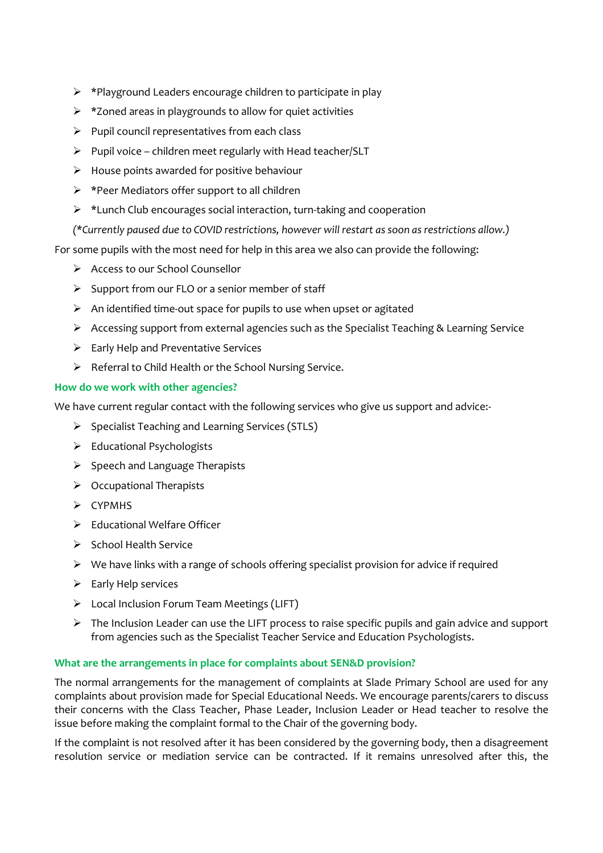- $\triangleright$  \*Playground Leaders encourage children to participate in play
- $\triangleright$  \*Zoned areas in playgrounds to allow for quiet activities
- $\triangleright$  Pupil council representatives from each class
- $\triangleright$  Pupil voice children meet regularly with Head teacher/SLT
- $\triangleright$  House points awarded for positive behaviour
- $\triangleright$  \*Peer Mediators offer support to all children
- $\triangleright$  \*Lunch Club encourages social interaction, turn-taking and cooperation
- *(\*Currently paused due to COVID restrictions, however will restart as soon as restrictions allow.)*

For some pupils with the most need for help in this area we also can provide the following:

- ▶ Access to our School Counsellor
- $\triangleright$  Support from our FLO or a senior member of staff
- $\triangleright$  An identified time-out space for pupils to use when upset or agitated
- Accessing support from external agencies such as the Specialist Teaching & Learning Service
- $\triangleright$  Early Help and Preventative Services
- $\triangleright$  Referral to Child Health or the School Nursing Service.

# **How do we work with other agencies?**

We have current regular contact with the following services who give us support and advice:-

- $\triangleright$  Specialist Teaching and Learning Services (STLS)
- $\triangleright$  Educational Psychologists
- $\triangleright$  Speech and Language Therapists
- $\triangleright$  Occupational Therapists
- $\triangleright$  CYPMHS
- $\triangleright$  Educational Welfare Officer
- $\triangleright$  School Health Service
- $\triangleright$  We have links with a range of schools offering specialist provision for advice if required
- $\triangleright$  Early Help services
- Local Inclusion Forum Team Meetings (LIFT)
- $\triangleright$  The Inclusion Leader can use the LIFT process to raise specific pupils and gain advice and support from agencies such as the Specialist Teacher Service and Education Psychologists.

# **What are the arrangements in place for complaints about SEN&D provision?**

The normal arrangements for the management of complaints at Slade Primary School are used for any complaints about provision made for Special Educational Needs. We encourage parents/carers to discuss their concerns with the Class Teacher, Phase Leader, Inclusion Leader or Head teacher to resolve the issue before making the complaint formal to the Chair of the governing body.

If the complaint is not resolved after it has been considered by the governing body, then a disagreement resolution service or mediation service can be contracted. If it remains unresolved after this, the